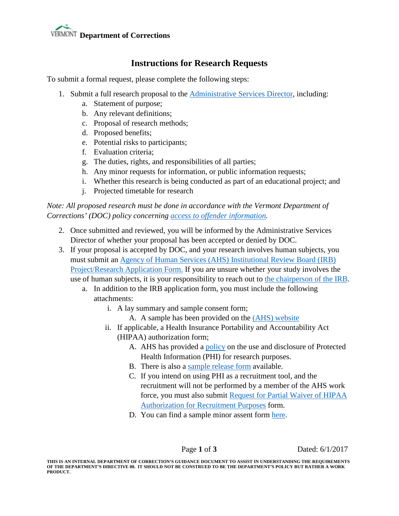# **Department of Corrections**

## **Instructions for Research Requests**

To submit a formal request, please complete the following steps:

- 1. Submit a full research proposal to the [Administrative Services Director,](http://corrections.vermont.gov/about/contact-us/?searchterm=weeber) including:
	- a. Statement of purpose;
	- b. Any relevant definitions;
	- c. Proposal of research methods;
	- d. Proposed benefits;
	- e. Potential risks to participants;
	- f. Evaluation criteria;
	- g. The duties, rights, and responsibilities of all parties;
	- h. Any minor requests for information, or public information requests;
	- i. Whether this research is being conducted as part of an educational project; and
	- j. Projected timetable for research

*Note: All proposed research must be done in accordance with the Vermont Department of Corrections' (DOC) policy concerning [access to offender information.](http://corrections.vermont.gov/about/policies/rpd/administrative-services-201-300/251-300-management-information-systems/254%20Access%20To%20Offender%20Information.pdf)*

- 2. Once submitted and reviewed, you will be informed by the Administrative Services Director of whether your proposal has been accepted or denied by DOC.
- 3. If your proposal is accepted by DOC, and your research involves human subjects, you must submit an [Agency of Human Services \(AHS\) Institutional Review Board \(IRB\)](http://humanservices.vermont.gov/boards-committees/irb/ahs-irb-application/view)  [Project/Research Application](http://humanservices.vermont.gov/boards-committees/irb/ahs-irb-application/view) Form. If you are unsure whether your study involves the use of human subjects, it is your responsibility to reach out to [the chairperson of the IRB.](http://humanservices.vermont.gov/boards-committees/irb/contacts/)
	- a. In addition to the IRB application form, you must include the following attachments:
		- i. A lay summary and sample consent form;
			- A. A sample has been provided on the [\(AHS\) website](http://humanservices.vermont.gov/boards-committees/irb/consent-to-participate-sample)
		- ii. If applicable, a Health Insurance Portability and Accountability Act (HIPAA) authorization form;
			- A. AHS has provided a [policy](http://humanservices.vermont.gov/boards-committees/irb/hipaa-research-policy/view) on the use and disclosure of Protected Health Information (PHI) for research purposes.
			- B. There is also a [sample release form](http://humanservices.vermont.gov/boards-committees/irb/example-use-and-disclosure/) available.
			- C. If you intend on using PHI as a recruitment tool, and the recruitment will not be performed by a member of the AHS work force, you must also submit [Request for Partial Waiver of HIPAA](http://humanservices.vermont.gov/boards-committees/irb/request-of-waiver-of-authorization-for-recruitment-purposes/view)  [Authorization for Recruitment Purposes](http://humanservices.vermont.gov/boards-committees/irb/request-of-waiver-of-authorization-for-recruitment-purposes/view) form.
			- D. You can find a sample minor assent form [here.](https://www.rit.edu/research/hsro/sample_assent_form)

Page **1** of **3** Dated: 6/1/2017

**THIS IS AN INTERNAL DEPARTMENT OF CORRECTION'S GUIDANCE DOCUMENT TO ASSIST IN UNDERSTANDING THE REQUIREMENTS OF THE DEPARTMENT'S DIRECTIVE 08. IT SHOULD NOT BE CONSTRUED TO BE THE DEPARTMENT'S POLICY BUT RATHER A WORK PRODUCT.**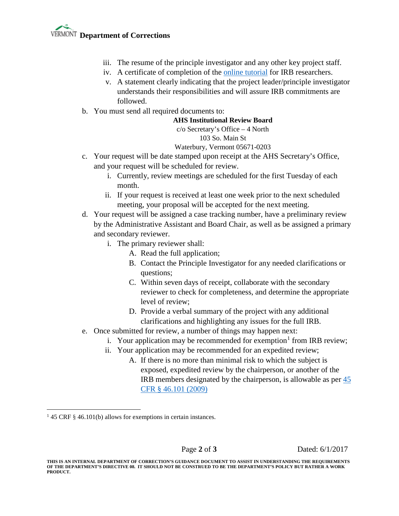- iii. The resume of the principle investigator and any other key project staff.
- iv. A certificate of completion of the [online tutorial](https://phrp.nihtraining.com/users/login.php) for IRB researchers.
- v. A statement clearly indicating that the project leader/principle investigator understands their responsibilities and will assure IRB commitments are followed.
- b. You must send all required documents to:

#### **AHS Institutional Review Board**

## c/o Secretary's Office – 4 North

### 103 So. Main St

#### Waterbury, Vermont 05671-0203

- c. Your request will be date stamped upon receipt at the AHS Secretary's Office, and your request will be scheduled for review.
	- i. Currently, review meetings are scheduled for the first Tuesday of each month.
	- ii. If your request is received at least one week prior to the next scheduled meeting, your proposal will be accepted for the next meeting.
- d. Your request will be assigned a case tracking number, have a preliminary review by the Administrative Assistant and Board Chair, as well as be assigned a primary and secondary reviewer.
	- i. The primary reviewer shall:
		- A. Read the full application;
		- B. Contact the Principle Investigator for any needed clarifications or questions;
		- C. Within seven days of receipt, collaborate with the secondary reviewer to check for completeness, and determine the appropriate level of review;
		- D. Provide a verbal summary of the project with any additional clarifications and highlighting any issues for the full IRB.
- e. Once submitted for review, a number of things may happen next:
	- i. Your application may be recommended for exemption<sup>[1](#page-1-0)</sup> from IRB review;
	- ii. Your application may be recommended for an expedited review;
		- A. If there is no more than minimal risk to which the subject is exposed, expedited review by the chairperson, or another of the IRB members designated by the chairperson, is allowable as per [45](http://www.hhs.gov/ohrp/regulations-and-policy/regulations/45-cfr-46/#46.110)  CFR § [46.101 \(2009\)](http://www.hhs.gov/ohrp/regulations-and-policy/regulations/45-cfr-46/#46.110)

Page **2** of **3** Dated: 6/1/2017

<span id="page-1-0"></span><sup>&</sup>lt;sup>1</sup> 45 CRF § 46.101(b) allows for exemptions in certain instances.

**THIS IS AN INTERNAL DEPARTMENT OF CORRECTION'S GUIDANCE DOCUMENT TO ASSIST IN UNDERSTANDING THE REQUIREMENTS OF THE DEPARTMENT'S DIRECTIVE 08. IT SHOULD NOT BE CONSTRUED TO BE THE DEPARTMENT'S POLICY BUT RATHER A WORK PRODUCT.**